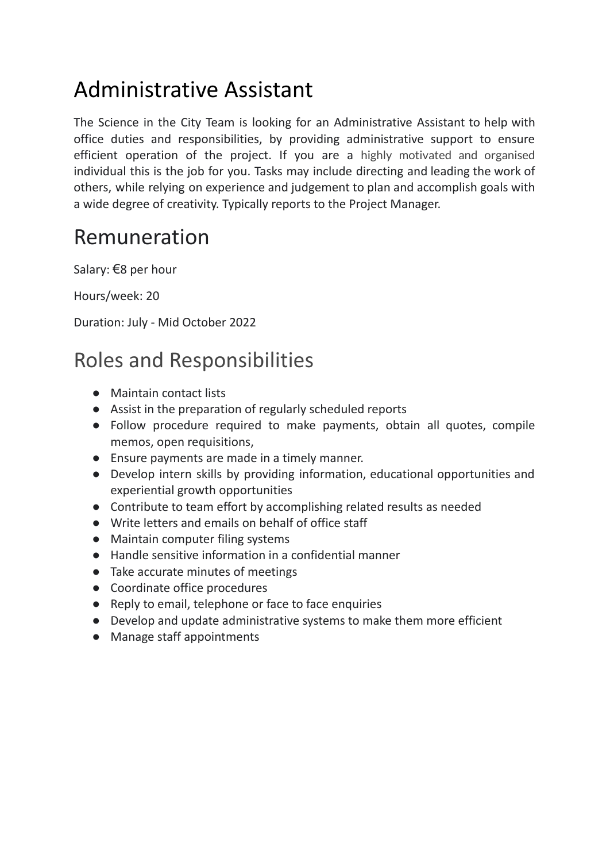## Administrative Assistant

The Science in the City Team is looking for an Administrative Assistant to help with office duties and responsibilities, by providing administrative support to ensure efficient operation of the project. If you are a highly motivated and organised individual this is the job for you. Tasks may include directing and leading the work of others, while relying on experience and judgement to plan and accomplish goals with a wide degree of creativity. Typically reports to the Project Manager.

## Remuneration

Salary: €8 per hour

Hours/week: 20

Duration: July - Mid October 2022

## Roles and Responsibilities

- Maintain contact lists
- Assist in the preparation of regularly scheduled reports
- Follow procedure required to make payments, obtain all quotes, compile memos, open requisitions,
- Ensure payments are made in a timely manner.
- Develop intern skills by providing information, educational opportunities and experiential growth opportunities
- Contribute to team effort by accomplishing related results as needed
- Write letters and emails on behalf of office staff
- Maintain computer filing systems
- Handle sensitive information in a confidential manner
- Take accurate minutes of meetings
- Coordinate office procedures
- Reply to email, telephone or face to face enquiries
- Develop and update administrative systems to make them more efficient
- Manage staff appointments